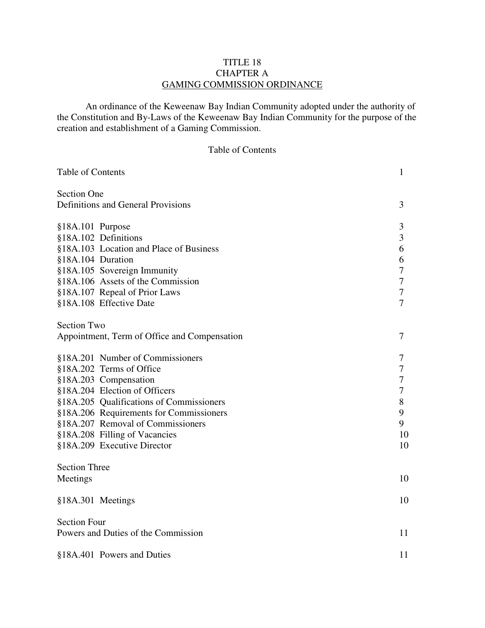## TITLE 18 CHAPTER A GAMING COMMISSION ORDINANCE

 An ordinance of the Keweenaw Bay Indian Community adopted under the authority of the Constitution and By-Laws of the Keweenaw Bay Indian Community for the purpose of the creation and establishment of a Gaming Commission.

## Table of Contents

| Table of Contents                            |                                          | 1              |  |
|----------------------------------------------|------------------------------------------|----------------|--|
| <b>Section One</b>                           |                                          |                |  |
| Definitions and General Provisions           |                                          | 3              |  |
| §18A.101 Purpose                             |                                          | 3              |  |
| §18A.102 Definitions                         |                                          | 3              |  |
|                                              | §18A.103 Location and Place of Business  | 6              |  |
| §18A.104 Duration                            |                                          | 6              |  |
|                                              | §18A.105 Sovereign Immunity              | 7              |  |
|                                              | §18A.106 Assets of the Commission        | 7              |  |
|                                              | §18A.107 Repeal of Prior Laws            | 7              |  |
|                                              | §18A.108 Effective Date                  | $\overline{7}$ |  |
| <b>Section Two</b>                           |                                          |                |  |
| Appointment, Term of Office and Compensation |                                          |                |  |
|                                              | §18A.201 Number of Commissioners         | 7              |  |
|                                              | §18A.202 Terms of Office                 | 7              |  |
|                                              | §18A.203 Compensation                    | 7              |  |
|                                              | §18A.204 Election of Officers            | 7              |  |
|                                              | §18A.205 Qualifications of Commissioners | 8              |  |
|                                              | §18A.206 Requirements for Commissioners  | 9              |  |
|                                              | §18A.207 Removal of Commissioners        | 9              |  |
|                                              | §18A.208 Filling of Vacancies            | 10             |  |
|                                              | §18A.209 Executive Director              | 10             |  |
| <b>Section Three</b>                         |                                          |                |  |
| Meetings                                     |                                          | 10             |  |
| §18A.301 Meetings                            |                                          | 10             |  |
| <b>Section Four</b>                          |                                          |                |  |
| 11<br>Powers and Duties of the Commission    |                                          |                |  |
|                                              | §18A.401 Powers and Duties               | 11             |  |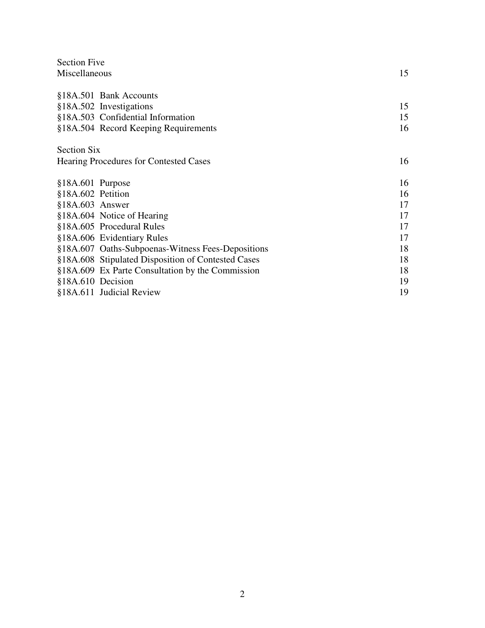| <b>Section Five</b> |                                                    |    |
|---------------------|----------------------------------------------------|----|
| Miscellaneous       |                                                    | 15 |
|                     |                                                    |    |
|                     | §18A.501 Bank Accounts                             |    |
|                     | §18A.502 Investigations                            | 15 |
|                     | §18A.503 Confidential Information                  | 15 |
|                     | §18A.504 Record Keeping Requirements               | 16 |
| <b>Section Six</b>  |                                                    |    |
|                     | Hearing Procedures for Contested Cases             | 16 |
| $$18A.601$ Purpose  |                                                    | 16 |
| §18A.602 Petition   |                                                    | 16 |
| $$18A.603$ Answer   |                                                    | 17 |
|                     | §18A.604 Notice of Hearing                         | 17 |
|                     | §18A.605 Procedural Rules                          | 17 |
|                     | §18A.606 Evidentiary Rules                         | 17 |
|                     | §18A.607 Oaths-Subpoenas-Witness Fees-Depositions  | 18 |
|                     | §18A.608 Stipulated Disposition of Contested Cases | 18 |
|                     | §18A.609 Ex Parte Consultation by the Commission   | 18 |
| §18A.610 Decision   |                                                    | 19 |
|                     | §18A.611 Judicial Review                           | 19 |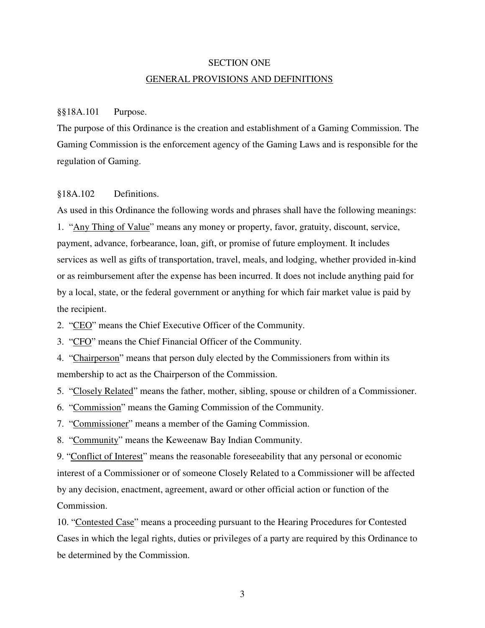## SECTION ONE GENERAL PROVISIONS AND DEFINITIONS

#### §§18A.101 Purpose.

The purpose of this Ordinance is the creation and establishment of a Gaming Commission. The Gaming Commission is the enforcement agency of the Gaming Laws and is responsible for the regulation of Gaming.

## §18A.102 Definitions.

As used in this Ordinance the following words and phrases shall have the following meanings: 1. "Any Thing of Value" means any money or property, favor, gratuity, discount, service, payment, advance, forbearance, loan, gift, or promise of future employment. It includes services as well as gifts of transportation, travel, meals, and lodging, whether provided in-kind or as reimbursement after the expense has been incurred. It does not include anything paid for by a local, state, or the federal government or anything for which fair market value is paid by the recipient.

2. "CEO" means the Chief Executive Officer of the Community.

3. "CFO" means the Chief Financial Officer of the Community.

4. "Chairperson" means that person duly elected by the Commissioners from within its membership to act as the Chairperson of the Commission.

5. "Closely Related" means the father, mother, sibling, spouse or children of a Commissioner.

6. "Commission" means the Gaming Commission of the Community.

7. "Commissioner" means a member of the Gaming Commission.

8. "Community" means the Keweenaw Bay Indian Community.

9. "Conflict of Interest" means the reasonable foreseeability that any personal or economic interest of a Commissioner or of someone Closely Related to a Commissioner will be affected by any decision, enactment, agreement, award or other official action or function of the Commission.

10. "Contested Case" means a proceeding pursuant to the Hearing Procedures for Contested Cases in which the legal rights, duties or privileges of a party are required by this Ordinance to be determined by the Commission.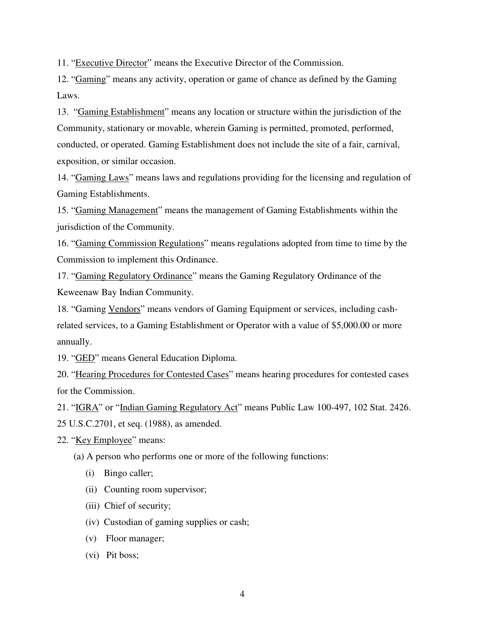11. "Executive Director" means the Executive Director of the Commission.

12. "Gaming" means any activity, operation or game of chance as defined by the Gaming Laws.

13. "Gaming Establishment" means any location or structure within the jurisdiction of the Community, stationary or movable, wherein Gaming is permitted, promoted, performed, conducted, or operated. Gaming Establishment does not include the site of a fair, carnival, exposition, or similar occasion.

14. "Gaming Laws" means laws and regulations providing for the licensing and regulation of Gaming Establishments.

15. "Gaming Management" means the management of Gaming Establishments within the jurisdiction of the Community.

16. "Gaming Commission Regulations" means regulations adopted from time to time by the Commission to implement this Ordinance.

17. "Gaming Regulatory Ordinance" means the Gaming Regulatory Ordinance of the Keweenaw Bay Indian Community.

18. "Gaming Vendors" means vendors of Gaming Equipment or services, including cashrelated services, to a Gaming Establishment or Operator with a value of \$5,000.00 or more annually.

19. "GED" means General Education Diploma.

20. "Hearing Procedures for Contested Cases" means hearing procedures for contested cases for the Commission.

21. "IGRA" or "Indian Gaming Regulatory Act" means Public Law 100-497, 102 Stat. 2426. 25 U.S.C.2701, et seq. (1988), as amended.

22. "Key Employee" means:

(a) A person who performs one or more of the following functions:

- (i) Bingo caller;
- (ii) Counting room supervisor;
- (iii) Chief of security;
- (iv) Custodian of gaming supplies or cash;
- (v) Floor manager;
- (vi) Pit boss;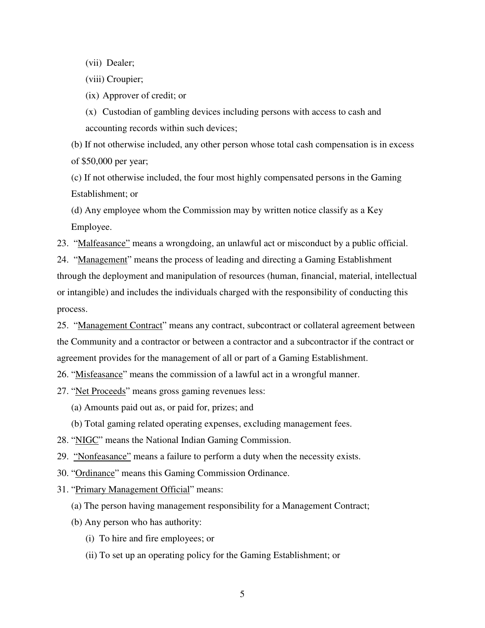(vii) Dealer;

(viii) Croupier;

(ix) Approver of credit; or

(x) Custodian of gambling devices including persons with access to cash and accounting records within such devices;

 (b) If not otherwise included, any other person whose total cash compensation is in excess of \$50,000 per year;

 (c) If not otherwise included, the four most highly compensated persons in the Gaming Establishment; or

 (d) Any employee whom the Commission may by written notice classify as a Key Employee.

23. "Malfeasance" means a wrongdoing, an unlawful act or misconduct by a public official.

24. "Management" means the process of leading and directing a Gaming Establishment through the deployment and manipulation of resources (human, financial, material, intellectual or intangible) and includes the individuals charged with the responsibility of conducting this process.

25. "Management Contract" means any contract, subcontract or collateral agreement between the Community and a contractor or between a contractor and a subcontractor if the contract or agreement provides for the management of all or part of a Gaming Establishment.

26. "Misfeasance" means the commission of a lawful act in a wrongful manner.

27. "Net Proceeds" means gross gaming revenues less:

(a) Amounts paid out as, or paid for, prizes; and

(b) Total gaming related operating expenses, excluding management fees.

28. "NIGC" means the National Indian Gaming Commission.

29. "Nonfeasance" means a failure to perform a duty when the necessity exists.

30. "Ordinance" means this Gaming Commission Ordinance.

- 31. "Primary Management Official" means:
	- (a) The person having management responsibility for a Management Contract;
	- (b) Any person who has authority:
		- (i) To hire and fire employees; or
		- (ii) To set up an operating policy for the Gaming Establishment; or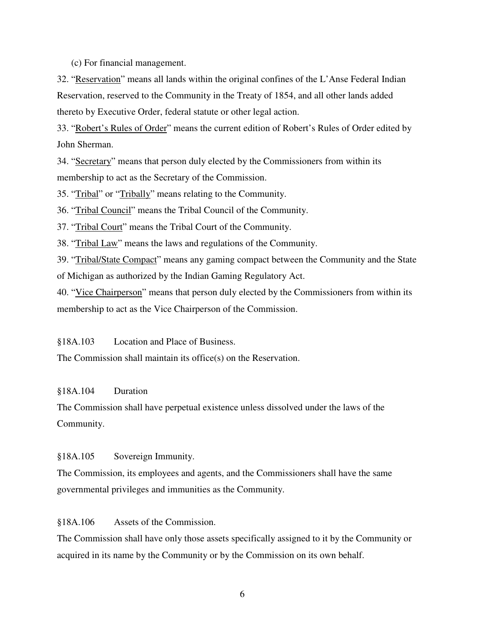(c) For financial management.

32. "Reservation" means all lands within the original confines of the L'Anse Federal Indian Reservation, reserved to the Community in the Treaty of 1854, and all other lands added thereto by Executive Order, federal statute or other legal action.

33. "Robert's Rules of Order" means the current edition of Robert's Rules of Order edited by John Sherman.

34. "Secretary" means that person duly elected by the Commissioners from within its membership to act as the Secretary of the Commission.

35. "Tribal" or "Tribally" means relating to the Community.

36. "Tribal Council" means the Tribal Council of the Community.

37. "Tribal Court" means the Tribal Court of the Community.

38. "Tribal Law" means the laws and regulations of the Community.

39. "Tribal/State Compact" means any gaming compact between the Community and the State of Michigan as authorized by the Indian Gaming Regulatory Act.

40. "Vice Chairperson" means that person duly elected by the Commissioners from within its membership to act as the Vice Chairperson of the Commission.

§18A.103 Location and Place of Business.

The Commission shall maintain its office(s) on the Reservation.

## §18A.104 Duration

The Commission shall have perpetual existence unless dissolved under the laws of the Community.

§18A.105 Sovereign Immunity.

The Commission, its employees and agents, and the Commissioners shall have the same governmental privileges and immunities as the Community.

§18A.106 Assets of the Commission.

The Commission shall have only those assets specifically assigned to it by the Community or acquired in its name by the Community or by the Commission on its own behalf.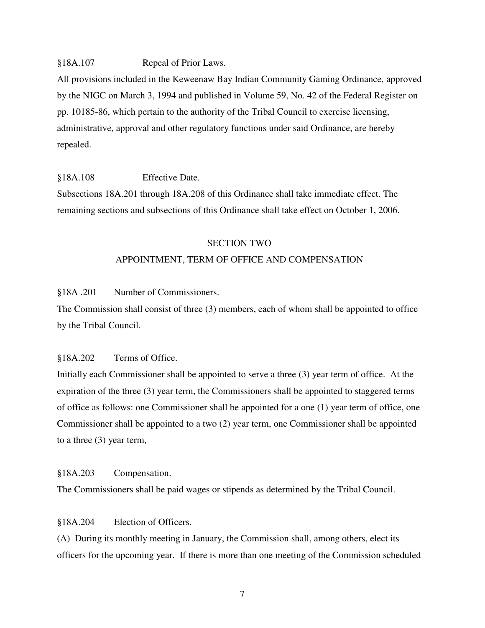#### §18A.107 Repeal of Prior Laws.

All provisions included in the Keweenaw Bay Indian Community Gaming Ordinance, approved by the NIGC on March 3, 1994 and published in Volume 59, No. 42 of the Federal Register on pp. 10185-86, which pertain to the authority of the Tribal Council to exercise licensing, administrative, approval and other regulatory functions under said Ordinance, are hereby repealed.

#### §18A.108 Effective Date.

Subsections 18A.201 through 18A.208 of this Ordinance shall take immediate effect. The remaining sections and subsections of this Ordinance shall take effect on October 1, 2006.

#### SECTION TWO

#### APPOINTMENT, TERM OF OFFICE AND COMPENSATION

## §18A .201 Number of Commissioners.

The Commission shall consist of three (3) members, each of whom shall be appointed to office by the Tribal Council.

### §18A.202 Terms of Office.

Initially each Commissioner shall be appointed to serve a three (3) year term of office. At the expiration of the three (3) year term, the Commissioners shall be appointed to staggered terms of office as follows: one Commissioner shall be appointed for a one (1) year term of office, one Commissioner shall be appointed to a two (2) year term, one Commissioner shall be appointed to a three (3) year term,

#### §18A.203 Compensation.

The Commissioners shall be paid wages or stipends as determined by the Tribal Council.

#### §18A.204 Election of Officers.

(A) During its monthly meeting in January, the Commission shall, among others, elect its officers for the upcoming year. If there is more than one meeting of the Commission scheduled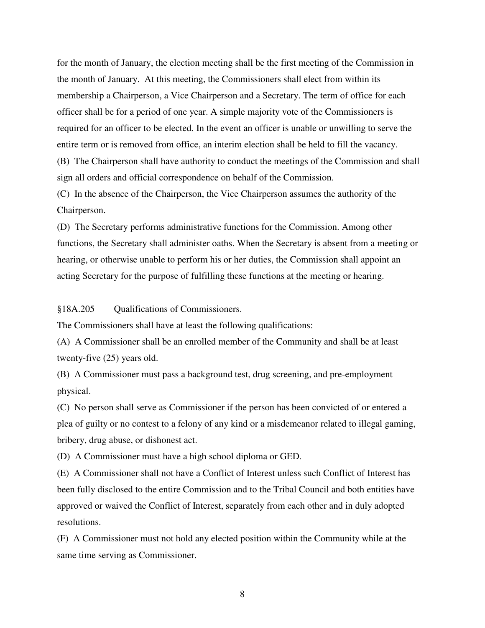for the month of January, the election meeting shall be the first meeting of the Commission in the month of January. At this meeting, the Commissioners shall elect from within its membership a Chairperson, a Vice Chairperson and a Secretary. The term of office for each officer shall be for a period of one year. A simple majority vote of the Commissioners is required for an officer to be elected. In the event an officer is unable or unwilling to serve the entire term or is removed from office, an interim election shall be held to fill the vacancy.

(B) The Chairperson shall have authority to conduct the meetings of the Commission and shall sign all orders and official correspondence on behalf of the Commission.

(C) In the absence of the Chairperson, the Vice Chairperson assumes the authority of the Chairperson.

(D) The Secretary performs administrative functions for the Commission. Among other functions, the Secretary shall administer oaths. When the Secretary is absent from a meeting or hearing, or otherwise unable to perform his or her duties, the Commission shall appoint an acting Secretary for the purpose of fulfilling these functions at the meeting or hearing.

§18A.205 Qualifications of Commissioners.

The Commissioners shall have at least the following qualifications:

(A) A Commissioner shall be an enrolled member of the Community and shall be at least twenty-five (25) years old.

(B) A Commissioner must pass a background test, drug screening, and pre-employment physical.

(C) No person shall serve as Commissioner if the person has been convicted of or entered a plea of guilty or no contest to a felony of any kind or a misdemeanor related to illegal gaming, bribery, drug abuse, or dishonest act.

(D) A Commissioner must have a high school diploma or GED.

(E) A Commissioner shall not have a Conflict of Interest unless such Conflict of Interest has been fully disclosed to the entire Commission and to the Tribal Council and both entities have approved or waived the Conflict of Interest, separately from each other and in duly adopted resolutions.

(F) A Commissioner must not hold any elected position within the Community while at the same time serving as Commissioner.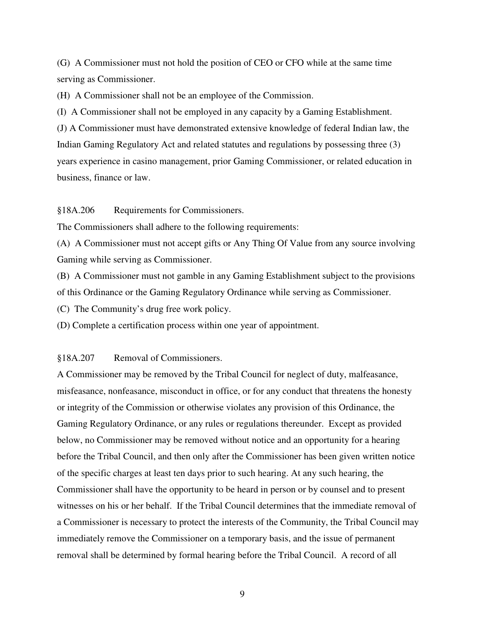(G) A Commissioner must not hold the position of CEO or CFO while at the same time serving as Commissioner.

(H) A Commissioner shall not be an employee of the Commission.

(I) A Commissioner shall not be employed in any capacity by a Gaming Establishment.

(J) A Commissioner must have demonstrated extensive knowledge of federal Indian law, the Indian Gaming Regulatory Act and related statutes and regulations by possessing three (3) years experience in casino management, prior Gaming Commissioner, or related education in business, finance or law.

#### §18A.206 Requirements for Commissioners.

The Commissioners shall adhere to the following requirements:

(A) A Commissioner must not accept gifts or Any Thing Of Value from any source involving Gaming while serving as Commissioner.

(B) A Commissioner must not gamble in any Gaming Establishment subject to the provisions of this Ordinance or the Gaming Regulatory Ordinance while serving as Commissioner.

(C) The Community's drug free work policy.

(D) Complete a certification process within one year of appointment.

## §18A.207 Removal of Commissioners.

A Commissioner may be removed by the Tribal Council for neglect of duty, malfeasance, misfeasance, nonfeasance, misconduct in office, or for any conduct that threatens the honesty or integrity of the Commission or otherwise violates any provision of this Ordinance, the Gaming Regulatory Ordinance, or any rules or regulations thereunder. Except as provided below, no Commissioner may be removed without notice and an opportunity for a hearing before the Tribal Council, and then only after the Commissioner has been given written notice of the specific charges at least ten days prior to such hearing. At any such hearing, the Commissioner shall have the opportunity to be heard in person or by counsel and to present witnesses on his or her behalf. If the Tribal Council determines that the immediate removal of a Commissioner is necessary to protect the interests of the Community, the Tribal Council may immediately remove the Commissioner on a temporary basis, and the issue of permanent removal shall be determined by formal hearing before the Tribal Council. A record of all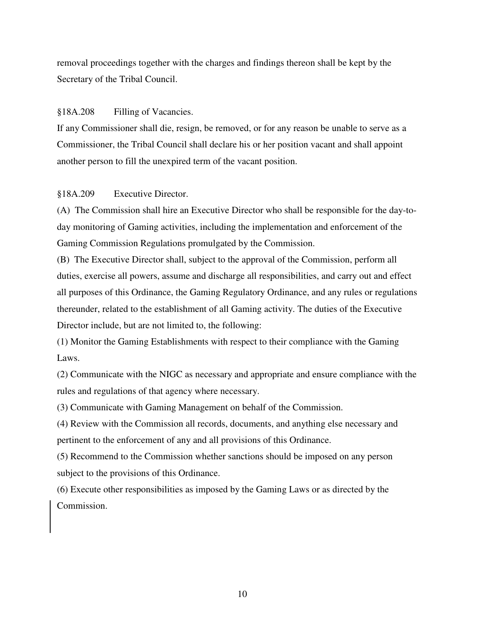removal proceedings together with the charges and findings thereon shall be kept by the Secretary of the Tribal Council.

## §18A.208 Filling of Vacancies.

If any Commissioner shall die, resign, be removed, or for any reason be unable to serve as a Commissioner, the Tribal Council shall declare his or her position vacant and shall appoint another person to fill the unexpired term of the vacant position.

#### §18A.209 Executive Director.

(A) The Commission shall hire an Executive Director who shall be responsible for the day-today monitoring of Gaming activities, including the implementation and enforcement of the Gaming Commission Regulations promulgated by the Commission.

(B) The Executive Director shall, subject to the approval of the Commission, perform all duties, exercise all powers, assume and discharge all responsibilities, and carry out and effect all purposes of this Ordinance, the Gaming Regulatory Ordinance, and any rules or regulations thereunder, related to the establishment of all Gaming activity. The duties of the Executive Director include, but are not limited to, the following:

(1) Monitor the Gaming Establishments with respect to their compliance with the Gaming Laws.

(2) Communicate with the NIGC as necessary and appropriate and ensure compliance with the rules and regulations of that agency where necessary.

(3) Communicate with Gaming Management on behalf of the Commission.

(4) Review with the Commission all records, documents, and anything else necessary and pertinent to the enforcement of any and all provisions of this Ordinance.

(5) Recommend to the Commission whether sanctions should be imposed on any person subject to the provisions of this Ordinance.

(6) Execute other responsibilities as imposed by the Gaming Laws or as directed by the Commission.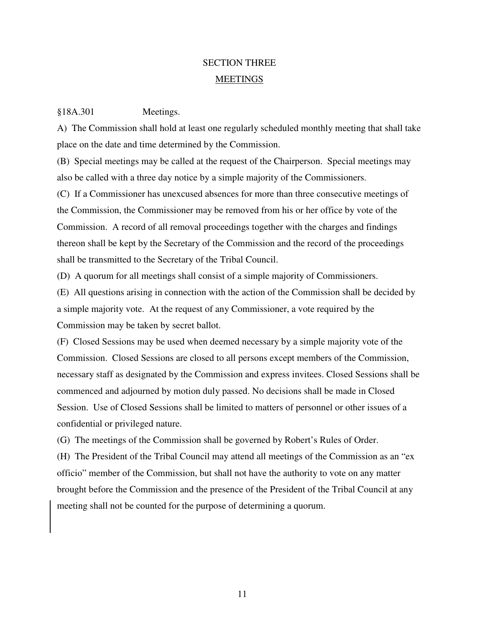## SECTION THREE MEETINGS

#### §18A.301 Meetings.

A) The Commission shall hold at least one regularly scheduled monthly meeting that shall take place on the date and time determined by the Commission.

(B) Special meetings may be called at the request of the Chairperson. Special meetings may also be called with a three day notice by a simple majority of the Commissioners.

(C) If a Commissioner has unexcused absences for more than three consecutive meetings of the Commission, the Commissioner may be removed from his or her office by vote of the Commission. A record of all removal proceedings together with the charges and findings thereon shall be kept by the Secretary of the Commission and the record of the proceedings shall be transmitted to the Secretary of the Tribal Council.

(D) A quorum for all meetings shall consist of a simple majority of Commissioners.

(E) All questions arising in connection with the action of the Commission shall be decided by a simple majority vote. At the request of any Commissioner, a vote required by the Commission may be taken by secret ballot.

(F) Closed Sessions may be used when deemed necessary by a simple majority vote of the Commission. Closed Sessions are closed to all persons except members of the Commission, necessary staff as designated by the Commission and express invitees. Closed Sessions shall be commenced and adjourned by motion duly passed. No decisions shall be made in Closed Session. Use of Closed Sessions shall be limited to matters of personnel or other issues of a confidential or privileged nature.

(G) The meetings of the Commission shall be governed by Robert's Rules of Order.

(H) The President of the Tribal Council may attend all meetings of the Commission as an "ex officio" member of the Commission, but shall not have the authority to vote on any matter brought before the Commission and the presence of the President of the Tribal Council at any meeting shall not be counted for the purpose of determining a quorum.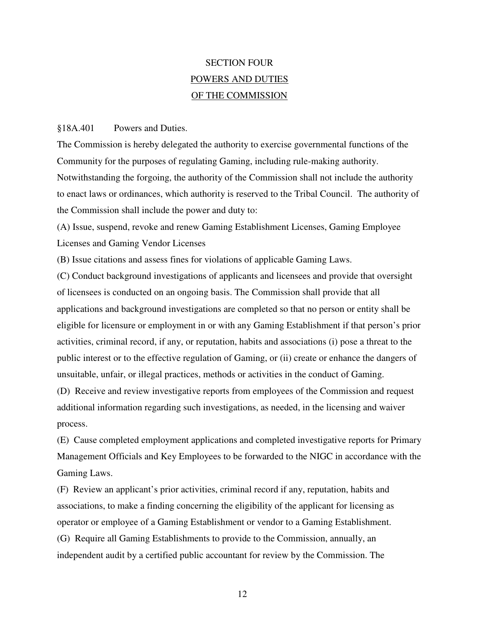# SECTION FOUR POWERS AND DUTIES OF THE COMMISSION

#### §18A.401 Powers and Duties.

The Commission is hereby delegated the authority to exercise governmental functions of the Community for the purposes of regulating Gaming, including rule-making authority. Notwithstanding the forgoing, the authority of the Commission shall not include the authority to enact laws or ordinances, which authority is reserved to the Tribal Council. The authority of the Commission shall include the power and duty to:

(A) Issue, suspend, revoke and renew Gaming Establishment Licenses, Gaming Employee Licenses and Gaming Vendor Licenses

(B) Issue citations and assess fines for violations of applicable Gaming Laws.

(C) Conduct background investigations of applicants and licensees and provide that oversight of licensees is conducted on an ongoing basis. The Commission shall provide that all applications and background investigations are completed so that no person or entity shall be eligible for licensure or employment in or with any Gaming Establishment if that person's prior activities, criminal record, if any, or reputation, habits and associations (i) pose a threat to the public interest or to the effective regulation of Gaming, or (ii) create or enhance the dangers of unsuitable, unfair, or illegal practices, methods or activities in the conduct of Gaming.

(D) Receive and review investigative reports from employees of the Commission and request additional information regarding such investigations, as needed, in the licensing and waiver process.

(E) Cause completed employment applications and completed investigative reports for Primary Management Officials and Key Employees to be forwarded to the NIGC in accordance with the Gaming Laws.

(F) Review an applicant's prior activities, criminal record if any, reputation, habits and associations, to make a finding concerning the eligibility of the applicant for licensing as operator or employee of a Gaming Establishment or vendor to a Gaming Establishment. (G) Require all Gaming Establishments to provide to the Commission, annually, an independent audit by a certified public accountant for review by the Commission. The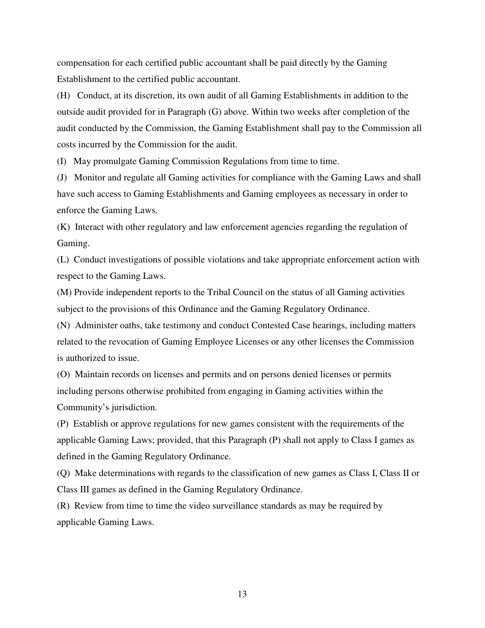compensation for each certified public accountant shall be paid directly by the Gaming Establishment to the certified public accountant.

(H) Conduct, at its discretion, its own audit of all Gaming Establishments in addition to the outside audit provided for in Paragraph (G) above. Within two weeks after completion of the audit conducted by the Commission, the Gaming Establishment shall pay to the Commission all costs incurred by the Commission for the audit.

(I) May promulgate Gaming Commission Regulations from time to time.

(J) Monitor and regulate all Gaming activities for compliance with the Gaming Laws and shall have such access to Gaming Establishments and Gaming employees as necessary in order to enforce the Gaming Laws.

(K) Interact with other regulatory and law enforcement agencies regarding the regulation of Gaming.

(L) Conduct investigations of possible violations and take appropriate enforcement action with respect to the Gaming Laws.

(M) Provide independent reports to the Tribal Council on the status of all Gaming activities subject to the provisions of this Ordinance and the Gaming Regulatory Ordinance.

(N) Administer oaths, take testimony and conduct Contested Case hearings, including matters related to the revocation of Gaming Employee Licenses or any other licenses the Commission is authorized to issue.

(O) Maintain records on licenses and permits and on persons denied licenses or permits including persons otherwise prohibited from engaging in Gaming activities within the Community's jurisdiction.

(P) Establish or approve regulations for new games consistent with the requirements of the applicable Gaming Laws; provided, that this Paragraph (P) shall not apply to Class I games as defined in the Gaming Regulatory Ordinance.

(Q) Make determinations with regards to the classification of new games as Class I, Class II or Class III games as defined in the Gaming Regulatory Ordinance.

(R) Review from time to time the video surveillance standards as may be required by applicable Gaming Laws.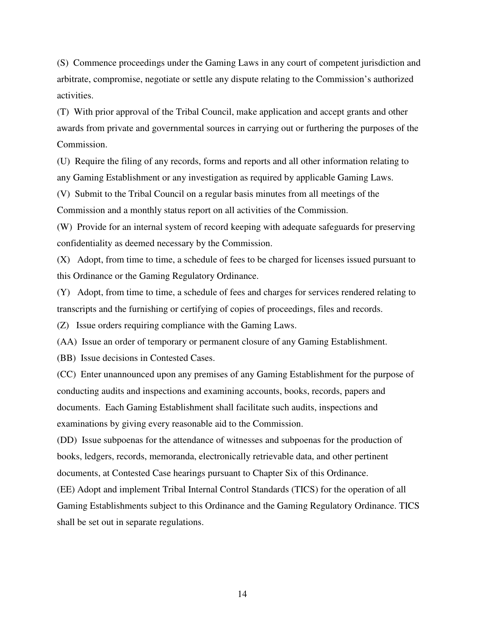(S) Commence proceedings under the Gaming Laws in any court of competent jurisdiction and arbitrate, compromise, negotiate or settle any dispute relating to the Commission's authorized activities.

(T) With prior approval of the Tribal Council, make application and accept grants and other awards from private and governmental sources in carrying out or furthering the purposes of the Commission.

(U) Require the filing of any records, forms and reports and all other information relating to any Gaming Establishment or any investigation as required by applicable Gaming Laws.

(V) Submit to the Tribal Council on a regular basis minutes from all meetings of the Commission and a monthly status report on all activities of the Commission.

(W) Provide for an internal system of record keeping with adequate safeguards for preserving confidentiality as deemed necessary by the Commission.

(X) Adopt, from time to time, a schedule of fees to be charged for licenses issued pursuant to this Ordinance or the Gaming Regulatory Ordinance.

(Y) Adopt, from time to time, a schedule of fees and charges for services rendered relating to transcripts and the furnishing or certifying of copies of proceedings, files and records.

(Z) Issue orders requiring compliance with the Gaming Laws.

(AA) Issue an order of temporary or permanent closure of any Gaming Establishment.

(BB) Issue decisions in Contested Cases.

(CC) Enter unannounced upon any premises of any Gaming Establishment for the purpose of conducting audits and inspections and examining accounts, books, records, papers and documents. Each Gaming Establishment shall facilitate such audits, inspections and examinations by giving every reasonable aid to the Commission.

(DD) Issue subpoenas for the attendance of witnesses and subpoenas for the production of books, ledgers, records, memoranda, electronically retrievable data, and other pertinent documents, at Contested Case hearings pursuant to Chapter Six of this Ordinance.

(EE) Adopt and implement Tribal Internal Control Standards (TICS) for the operation of all Gaming Establishments subject to this Ordinance and the Gaming Regulatory Ordinance. TICS shall be set out in separate regulations.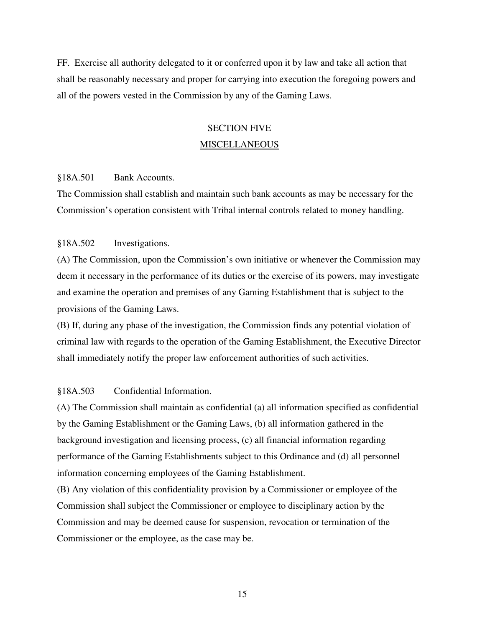FF. Exercise all authority delegated to it or conferred upon it by law and take all action that shall be reasonably necessary and proper for carrying into execution the foregoing powers and all of the powers vested in the Commission by any of the Gaming Laws.

## SECTION FIVE **MISCELLANEOUS**

#### §18A.501 Bank Accounts.

The Commission shall establish and maintain such bank accounts as may be necessary for the Commission's operation consistent with Tribal internal controls related to money handling.

#### §18A.502 Investigations.

(A) The Commission, upon the Commission's own initiative or whenever the Commission may deem it necessary in the performance of its duties or the exercise of its powers, may investigate and examine the operation and premises of any Gaming Establishment that is subject to the provisions of the Gaming Laws.

(B) If, during any phase of the investigation, the Commission finds any potential violation of criminal law with regards to the operation of the Gaming Establishment, the Executive Director shall immediately notify the proper law enforcement authorities of such activities.

#### §18A.503 Confidential Information.

(A) The Commission shall maintain as confidential (a) all information specified as confidential by the Gaming Establishment or the Gaming Laws, (b) all information gathered in the background investigation and licensing process, (c) all financial information regarding performance of the Gaming Establishments subject to this Ordinance and (d) all personnel information concerning employees of the Gaming Establishment.

(B) Any violation of this confidentiality provision by a Commissioner or employee of the Commission shall subject the Commissioner or employee to disciplinary action by the Commission and may be deemed cause for suspension, revocation or termination of the Commissioner or the employee, as the case may be.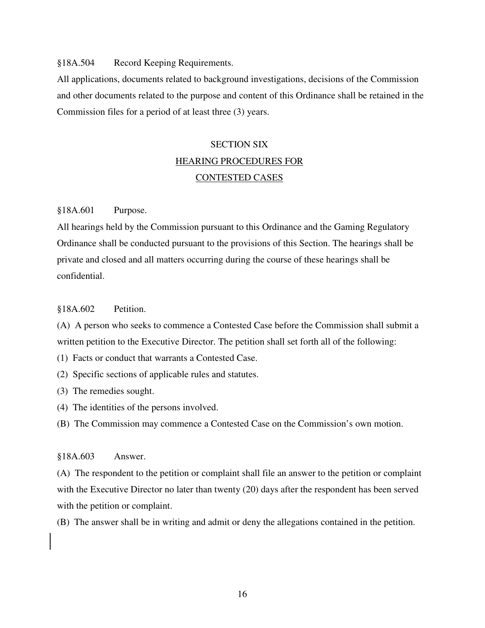#### §18A.504 Record Keeping Requirements.

All applications, documents related to background investigations, decisions of the Commission and other documents related to the purpose and content of this Ordinance shall be retained in the Commission files for a period of at least three (3) years.

# SECTION SIX HEARING PROCEDURES FOR CONTESTED CASES

#### §18A.601 Purpose.

All hearings held by the Commission pursuant to this Ordinance and the Gaming Regulatory Ordinance shall be conducted pursuant to the provisions of this Section. The hearings shall be private and closed and all matters occurring during the course of these hearings shall be confidential.

#### §18A.602 Petition.

(A) A person who seeks to commence a Contested Case before the Commission shall submit a written petition to the Executive Director. The petition shall set forth all of the following:

- (1) Facts or conduct that warrants a Contested Case.
- (2) Specific sections of applicable rules and statutes.
- (3) The remedies sought.
- (4) The identities of the persons involved.
- (B) The Commission may commence a Contested Case on the Commission's own motion.

#### §18A.603 Answer.

(A) The respondent to the petition or complaint shall file an answer to the petition or complaint with the Executive Director no later than twenty (20) days after the respondent has been served with the petition or complaint.

(B) The answer shall be in writing and admit or deny the allegations contained in the petition.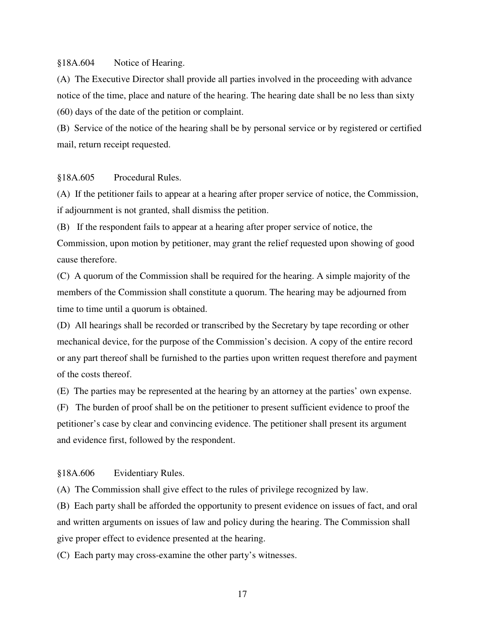#### §18A.604 Notice of Hearing.

(A) The Executive Director shall provide all parties involved in the proceeding with advance notice of the time, place and nature of the hearing. The hearing date shall be no less than sixty (60) days of the date of the petition or complaint.

(B) Service of the notice of the hearing shall be by personal service or by registered or certified mail, return receipt requested.

#### §18A.605 Procedural Rules.

(A) If the petitioner fails to appear at a hearing after proper service of notice, the Commission, if adjournment is not granted, shall dismiss the petition.

(B) If the respondent fails to appear at a hearing after proper service of notice, the Commission, upon motion by petitioner, may grant the relief requested upon showing of good cause therefore.

(C) A quorum of the Commission shall be required for the hearing. A simple majority of the members of the Commission shall constitute a quorum. The hearing may be adjourned from time to time until a quorum is obtained.

(D) All hearings shall be recorded or transcribed by the Secretary by tape recording or other mechanical device, for the purpose of the Commission's decision. A copy of the entire record or any part thereof shall be furnished to the parties upon written request therefore and payment of the costs thereof.

(E) The parties may be represented at the hearing by an attorney at the parties' own expense.

(F) The burden of proof shall be on the petitioner to present sufficient evidence to proof the petitioner's case by clear and convincing evidence. The petitioner shall present its argument and evidence first, followed by the respondent.

#### §18A.606 Evidentiary Rules.

(A) The Commission shall give effect to the rules of privilege recognized by law.

(B) Each party shall be afforded the opportunity to present evidence on issues of fact, and oral and written arguments on issues of law and policy during the hearing. The Commission shall give proper effect to evidence presented at the hearing.

(C) Each party may cross-examine the other party's witnesses.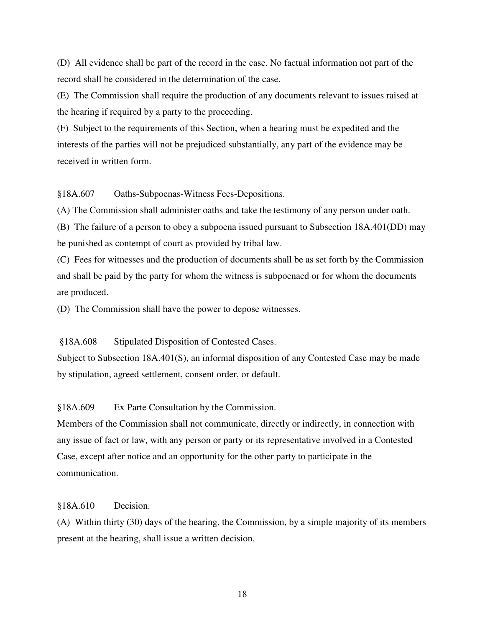(D) All evidence shall be part of the record in the case. No factual information not part of the record shall be considered in the determination of the case.

(E) The Commission shall require the production of any documents relevant to issues raised at the hearing if required by a party to the proceeding.

(F) Subject to the requirements of this Section, when a hearing must be expedited and the interests of the parties will not be prejudiced substantially, any part of the evidence may be received in written form.

§18A.607 Oaths-Subpoenas-Witness Fees-Depositions.

(A) The Commission shall administer oaths and take the testimony of any person under oath.

(B) The failure of a person to obey a subpoena issued pursuant to Subsection 18A.401(DD) may be punished as contempt of court as provided by tribal law.

(C) Fees for witnesses and the production of documents shall be as set forth by the Commission and shall be paid by the party for whom the witness is subpoenaed or for whom the documents are produced.

(D) The Commission shall have the power to depose witnesses.

§18A.608 Stipulated Disposition of Contested Cases.

 Subject to Subsection 18A.401(S), an informal disposition of any Contested Case may be made by stipulation, agreed settlement, consent order, or default.

§18A.609 Ex Parte Consultation by the Commission.

Members of the Commission shall not communicate, directly or indirectly, in connection with any issue of fact or law, with any person or party or its representative involved in a Contested Case, except after notice and an opportunity for the other party to participate in the communication.

## §18A.610 Decision.

(A) Within thirty (30) days of the hearing, the Commission, by a simple majority of its members present at the hearing, shall issue a written decision.